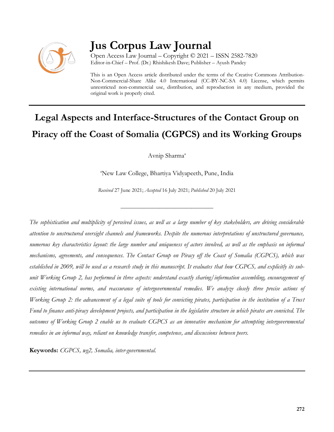

## **Jus Corpus Law Journal**

Open Access Law Journal – Copyright © 2021 – ISSN 2582-7820 Editor-in-Chief – Prof. (Dr.) Rhishikesh Dave; Publisher – Ayush Pandey

This is an Open Access article distributed under the terms of the Creative Commons Attribution-Non-Commercial-Share Alike 4.0 International (CC-BY-NC-SA 4.0) License, which permits unrestricted non-commercial use, distribution, and reproduction in any medium, provided the original work is properly cited.

# **Legal Aspects and Interface-Structures of the Contact Group on Piracy off the Coast of Somalia (CGPCS) and its Working Groups**

Avnip Sharma<sup>a</sup>

<sup>a</sup>New Law College, Bhartiya Vidyapeeth, Pune, India

*Received* 27 June 2021; *Accepted* 16 July 2021; *Published* 20 July 2021

\_\_\_\_\_\_\_\_\_\_\_\_\_\_\_\_\_\_\_\_\_\_\_\_\_\_\_\_\_\_\_\_\_\_

*The sophistication and multiplicity of perceived issues, as well as a large number of key stakeholders, are driving considerable attention to unstructured oversight channels and frameworks. Despite the numerous interpretations of unstructured governance, numerous key characteristics layout: the large number and uniqueness of actors involved, as well as the emphasis on informal mechanisms, agreements, and consequences. The Contact Group on Piracy off the Coast of Somalia (CGPCS), which was established in 2009, will be used as a research study in this manuscript. It evaluates that how CGPCS, and explicitly its subunit Working Group 2, has performed in three aspects: understand exactly sharing/information assembling, encouragement of existing international norms, and reassurance of intergovernmental remedies. We analyze closely three precise actions of Working Group 2: the advancement of a legal suite of tools for convicting pirates, participation in the institution of a Trust*  Fund to finance anti-piracy development projects, and participation in the legislative structure in which pirates are convicted. The *outcomes of Working Group 2 enable us to evaluate CGPCS as an innovative mechanism for attempting intergovernmental remedies in an informal way, reliant on knowledge transfer, competence, and discussions between peers.* 

**Keywords:** *CGPCS, wg2, Somalia, inter-governmental.*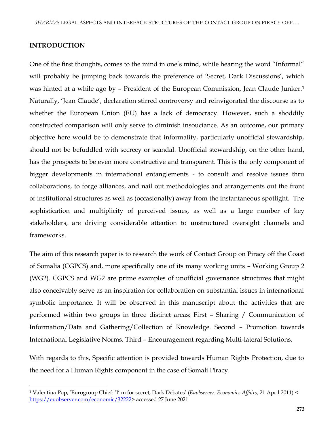#### **INTRODUCTION**

 $\overline{\phantom{a}}$ 

One of the first thoughts, comes to the mind in one's mind, while hearing the word "Informal" will probably be jumping back towards the preference of 'Secret, Dark Discussions', which was hinted at a while ago by - President of the European Commission, Jean Claude Junker.<sup>1</sup> Naturally, 'Jean Claude', declaration stirred controversy and reinvigorated the discourse as to whether the European Union (EU) has a lack of democracy. However, such a shoddily constructed comparison will only serve to diminish insouciance. As an outcome, our primary objective here would be to demonstrate that informality, particularly unofficial stewardship, should not be befuddled with secrecy or scandal. Unofficial stewardship, on the other hand, has the prospects to be even more constructive and transparent. This is the only component of bigger developments in international entanglements - to consult and resolve issues thru collaborations, to forge alliances, and nail out methodologies and arrangements out the front of institutional structures as well as (occasionally) away from the instantaneous spotlight. The sophistication and multiplicity of perceived issues, as well as a large number of key stakeholders, are driving considerable attention to unstructured oversight channels and frameworks.

The aim of this research paper is to research the work of Contact Group on Piracy off the Coast of Somalia (CGPCS) and, more specifically one of its many working units – Working Group 2 (WG2). CGPCS and WG2 are prime examples of unofficial governance structures that might also conceivably serve as an inspiration for collaboration on substantial issues in international symbolic importance. It will be observed in this manuscript about the activities that are performed within two groups in three distinct areas: First – Sharing / Communication of Information/Data and Gathering/Collection of Knowledge. Second – Promotion towards International Legislative Norms. Third – Encouragement regarding Multi-lateral Solutions.

With regards to this, Specific attention is provided towards Human Rights Protection, due to the need for a Human Rights component in the case of Somali Piracy.

<sup>1</sup> Valentina Pop, 'Eurogroup Chief: 'I' m for secret, Dark Debates' (*Euobserver: Economics Affairs,* 21 April 2011) < [https://euobserver.com/economic/32222>](https://euobserver.com/economic/32222) accessed 27 June 2021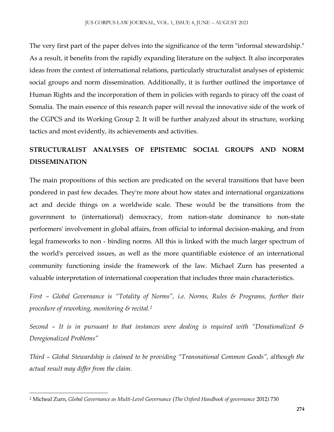The very first part of the paper delves into the significance of the term "informal stewardship." As a result, it benefits from the rapidly expanding literature on the subject. It also incorporates ideas from the context of international relations, particularly structuralist analyses of epistemic social groups and norm dissemination. Additionally, it is further outlined the importance of Human Rights and the incorporation of them in policies with regards to piracy off the coast of Somalia. The main essence of this research paper will reveal the innovative side of the work of the CGPCS and its Working Group 2. It will be further analyzed about its structure, working tactics and most evidently, its achievements and activities.

## **STRUCTURALIST ANALYSES OF EPISTEMIC SOCIAL GROUPS AND NORM DISSEMINATION**

The main propositions of this section are predicated on the several transitions that have been pondered in past few decades. They're more about how states and international organizations act and decide things on a worldwide scale. These would be the transitions from the government to (international) democracy, from nation-state dominance to non-state performers' involvement in global affairs, from official to informal decision-making, and from legal frameworks to non - binding norms. All this is linked with the much larger spectrum of the world's perceived issues, as well as the more quantifiable existence of an international community functioning inside the framework of the law. Michael Zurn has presented a valuable interpretation of international cooperation that includes three main characteristics.

*First – Global Governance is "Totality of Norms", i.e. Norms, Rules & Programs, further their procedure of reworking, monitoring & recital.<sup>2</sup>*

*Second – It is in pursuant to that instances were dealing is required with "Denationalized & Deregionalized Problems"* 

*Third – Global Stewardship is claimed to be providing "Transnational Common Goods", although the actual result may differ from the claim.*

 $\overline{\phantom{a}}$ 

<sup>2</sup> Micheal Zurn, *Global Governance as Multi-Level Governance* (*The Oxford Handbook of governance* 2012*)* 730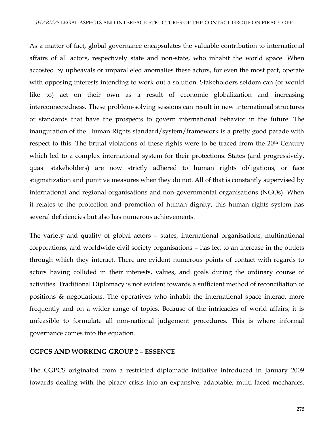As a matter of fact, global governance encapsulates the valuable contribution to international affairs of all actors, respectively state and non-state, who inhabit the world space. When accosted by upheavals or unparalleled anomalies these actors, for even the most part, operate with opposing interests intending to work out a solution. Stakeholders seldom can (or would like to) act on their own as a result of economic globalization and increasing interconnectedness. These problem-solving sessions can result in new international structures or standards that have the prospects to govern international behavior in the future. The inauguration of the Human Rights standard/system/framework is a pretty good parade with respect to this. The brutal violations of these rights were to be traced from the 20<sup>th</sup> Century which led to a complex international system for their protections. States (and progressively, quasi stakeholders) are now strictly adhered to human rights obligations, or face stigmatization and punitive measures when they do not. All of that is constantly supervised by international and regional organisations and non-governmental organisations (NGOs). When it relates to the protection and promotion of human dignity, this human rights system has several deficiencies but also has numerous achievements.

The variety and quality of global actors – states, international organisations, multinational corporations, and worldwide civil society organisations – has led to an increase in the outlets through which they interact. There are evident numerous points of contact with regards to actors having collided in their interests, values, and goals during the ordinary course of activities. Traditional Diplomacy is not evident towards a sufficient method of reconciliation of positions & negotiations. The operatives who inhabit the international space interact more frequently and on a wider range of topics. Because of the intricacies of world affairs, it is unfeasible to formulate all non-national judgement procedures. This is where informal governance comes into the equation.

#### **CGPCS AND WORKING GROUP 2 – ESSENCE**

The CGPCS originated from a restricted diplomatic initiative introduced in January 2009 towards dealing with the piracy crisis into an expansive, adaptable, multi-faced mechanics.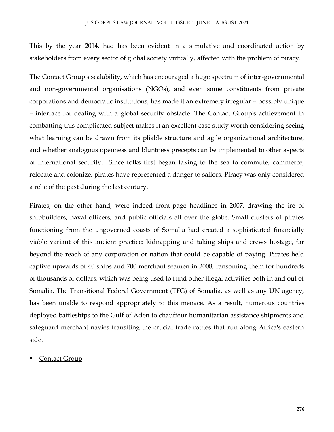This by the year 2014, had has been evident in a simulative and coordinated action by stakeholders from every sector of global society virtually, affected with the problem of piracy.

The Contact Group's scalability, which has encouraged a huge spectrum of inter-governmental and non-governmental organisations (NGOs), and even some constituents from private corporations and democratic institutions, has made it an extremely irregular – possibly unique – interface for dealing with a global security obstacle. The Contact Group's achievement in combatting this complicated subject makes it an excellent case study worth considering seeing what learning can be drawn from its pliable structure and agile organizational architecture, and whether analogous openness and bluntness precepts can be implemented to other aspects of international security. Since folks first began taking to the sea to commute, commerce, relocate and colonize, pirates have represented a danger to sailors. Piracy was only considered a relic of the past during the last century.

Pirates, on the other hand, were indeed front-page headlines in 2007, drawing the ire of shipbuilders, naval officers, and public officials all over the globe. Small clusters of pirates functioning from the ungoverned coasts of Somalia had created a sophisticated financially viable variant of this ancient practice: kidnapping and taking ships and crews hostage, far beyond the reach of any corporation or nation that could be capable of paying. Pirates held captive upwards of 40 ships and 700 merchant seamen in 2008, ransoming them for hundreds of thousands of dollars, which was being used to fund other illegal activities both in and out of Somalia. The Transitional Federal Government (TFG) of Somalia, as well as any UN agency, has been unable to respond appropriately to this menace. As a result, numerous countries deployed battleships to the Gulf of Aden to chauffeur humanitarian assistance shipments and safeguard merchant navies transiting the crucial trade routes that run along Africa's eastern side.

#### Contact Group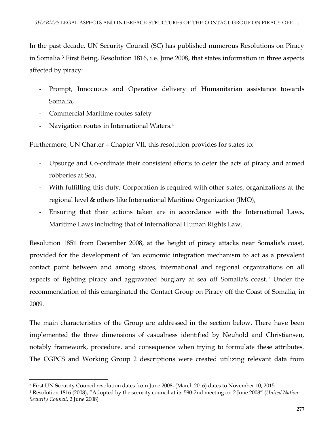In the past decade, UN Security Council (SC) has published numerous Resolutions on Piracy in Somalia.<sup>3</sup> First Being, Resolution 1816, i.e. June 2008, that states information in three aspects affected by piracy:

- **-** Prompt, Innocuous and Operative delivery of Humanitarian assistance towards Somalia,
- **-** Commercial Maritime routes safety
- **-** Navigation routes in International Waters.<sup>4</sup>

Furthermore, UN Charter – Chapter VII, this resolution provides for states to:

- **-** Upsurge and Co-ordinate their consistent efforts to deter the acts of piracy and armed robberies at Sea,
- **-** With fulfilling this duty, Corporation is required with other states, organizations at the regional level & others like International Maritime Organization (IMO),
- **-** Ensuring that their actions taken are in accordance with the International Laws, Maritime Laws including that of International Human Rights Law.

Resolution 1851 from December 2008, at the height of piracy attacks near Somalia's coast, provided for the development of "an economic integration mechanism to act as a prevalent contact point between and among states, international and regional organizations on all aspects of fighting piracy and aggravated burglary at sea off Somalia's coast." Under the recommendation of this emarginated the Contact Group on Piracy off the Coast of Somalia, in 2009.

The main characteristics of the Group are addressed in the section below. There have been implemented the three dimensions of casualness identified by Neuhold and Christiansen, notably framework, procedure, and consequence when trying to formulate these attributes. The CGPCS and Working Group 2 descriptions were created utilizing relevant data from

 $\overline{\phantom{a}}$ <sup>3</sup> First UN Security Council resolution dates from June 2008, (March 2016) dates to November 10, 2015

<sup>4</sup> Resolution 1816 (2008), "Adopted by the security council at its 590-2nd meeting on 2 June 2008" (*United Nation-Security Council*, 2 June 2008)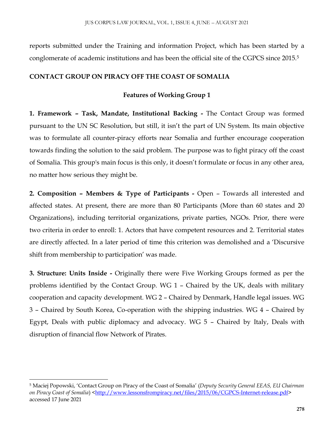reports submitted under the Training and information Project, which has been started by a conglomerate of academic institutions and has been the official site of the CGPCS since 2015.<sup>5</sup>

#### **CONTACT GROUP ON PIRACY OFF THE COAST OF SOMALIA**

#### **Features of Working Group 1**

**1. Framework – Task, Mandate, Institutional Backing -** The Contact Group was formed pursuant to the UN SC Resolution, but still, it isn't the part of UN System. Its main objective was to formulate all counter-piracy efforts near Somalia and further encourage cooperation towards finding the solution to the said problem. The purpose was to fight piracy off the coast of Somalia. This group's main focus is this only, it doesn't formulate or focus in any other area, no matter how serious they might be.

**2. Composition – Members & Type of Participants -** Open – Towards all interested and affected states. At present, there are more than 80 Participants (More than 60 states and 20 Organizations), including territorial organizations, private parties, NGOs. Prior, there were two criteria in order to enroll: 1. Actors that have competent resources and 2. Territorial states are directly affected. In a later period of time this criterion was demolished and a 'Discursive shift from membership to participation' was made.

**3. Structure: Units Inside -** Originally there were Five Working Groups formed as per the problems identified by the Contact Group. WG 1 – Chaired by the UK, deals with military cooperation and capacity development. WG 2 – Chaired by Denmark, Handle legal issues. WG 3 – Chaired by South Korea, Co-operation with the shipping industries. WG 4 – Chaired by Egypt, Deals with public diplomacy and advocacy. WG 5 – Chaired by Italy, Deals with disruption of financial flow Network of Pirates.

 $\overline{\phantom{a}}$ 

<sup>5</sup> Maciej Popowski, 'Contact Group on Piracy of the Coast of Somalia' (*Deputy Security General EEAS, EU Chairman on Piracy Coast of Somalia*) [<http://www.lessonsfrompiracy.net/files/2015/06/CGPCS-Internet-release.pdf>](http://www.lessonsfrompiracy.net/files/2015/06/CGPCS-Internet-release.pdf) accessed 17 June 2021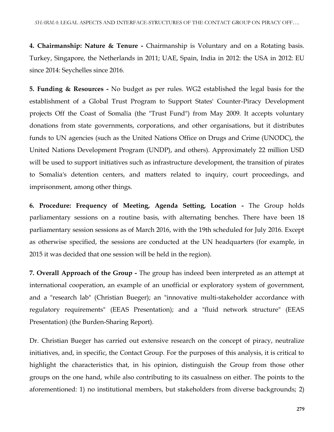**4. Chairmanship: Nature & Tenure -** Chairmanship is Voluntary and on a Rotating basis. Turkey, Singapore, the Netherlands in 2011; UAE, Spain, India in 2012: the USA in 2012: EU since 2014: Seychelles since 2016.

**5. Funding & Resources -** No budget as per rules. WG2 established the legal basis for the establishment of a Global Trust Program to Support States' Counter-Piracy Development projects Off the Coast of Somalia (the "Trust Fund") from May 2009. It accepts voluntary donations from state governments, corporations, and other organisations, but it distributes funds to UN agencies (such as the United Nations Office on Drugs and Crime (UNODC), the United Nations Development Program (UNDP), and others). Approximately 22 million USD will be used to support initiatives such as infrastructure development, the transition of pirates to Somalia's detention centers, and matters related to inquiry, court proceedings, and imprisonment, among other things.

**6. Procedure: Frequency of Meeting, Agenda Setting, Location -** The Group holds parliamentary sessions on a routine basis, with alternating benches. There have been 18 parliamentary session sessions as of March 2016, with the 19th scheduled for July 2016. Except as otherwise specified, the sessions are conducted at the UN headquarters (for example, in 2015 it was decided that one session will be held in the region).

**7. Overall Approach of the Group -** The group has indeed been interpreted as an attempt at international cooperation, an example of an unofficial or exploratory system of government, and a "research lab" (Christian Bueger); an "innovative multi-stakeholder accordance with regulatory requirements" (EEAS Presentation); and a "fluid network structure" (EEAS Presentation) (the Burden-Sharing Report).

Dr. Christian Bueger has carried out extensive research on the concept of piracy, neutralize initiatives, and, in specific, the Contact Group. For the purposes of this analysis, it is critical to highlight the characteristics that, in his opinion, distinguish the Group from those other groups on the one hand, while also contributing to its casualness on either. The points to the aforementioned: 1) no institutional members, but stakeholders from diverse backgrounds; 2)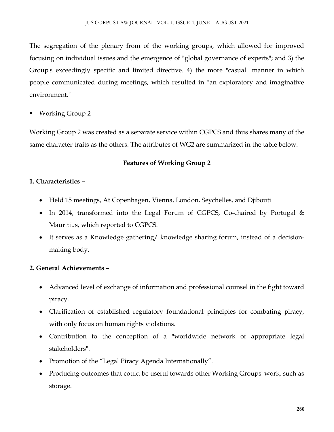The segregation of the plenary from of the working groups, which allowed for improved focusing on individual issues and the emergence of "global governance of experts"; and 3) the Group's exceedingly specific and limited directive. 4) the more "casual" manner in which people communicated during meetings, which resulted in "an exploratory and imaginative environment."

Working Group 2

Working Group 2 was created as a separate service within CGPCS and thus shares many of the same character traits as the others. The attributes of WG2 are summarized in the table below.

### **Features of Working Group 2**

## **1. Characteristics –**

- Held 15 meetings, At Copenhagen, Vienna, London, Seychelles, and Djibouti
- In 2014, transformed into the Legal Forum of CGPCS, Co-chaired by Portugal  $\&$ Mauritius, which reported to CGPCS.
- It serves as a Knowledge gathering/ knowledge sharing forum, instead of a decisionmaking body.

## **2. General Achievements –**

- Advanced level of exchange of information and professional counsel in the fight toward piracy.
- Clarification of established regulatory foundational principles for combating piracy, with only focus on human rights violations.
- Contribution to the conception of a "worldwide network of appropriate legal stakeholders".
- Promotion of the "Legal Piracy Agenda Internationally".
- Producing outcomes that could be useful towards other Working Groups' work, such as storage.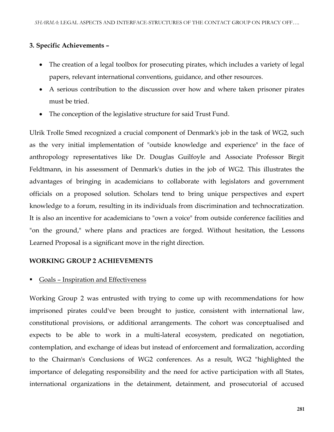#### **3. Specific Achievements –**

- The creation of a legal toolbox for prosecuting pirates, which includes a variety of legal papers, relevant international conventions, guidance, and other resources.
- A serious contribution to the discussion over how and where taken prisoner pirates must be tried.
- The conception of the legislative structure for said Trust Fund.

Ulrik Trolle Smed recognized a crucial component of Denmark's job in the task of WG2, such as the very initial implementation of "outside knowledge and experience" in the face of anthropology representatives like Dr. Douglas Guilfoyle and Associate Professor Birgit Feldtmann, in his assessment of Denmark's duties in the job of WG2. This illustrates the advantages of bringing in academicians to collaborate with legislators and government officials on a proposed solution. Scholars tend to bring unique perspectives and expert knowledge to a forum, resulting in its individuals from discrimination and technocratization. It is also an incentive for academicians to "own a voice" from outside conference facilities and "on the ground," where plans and practices are forged. Without hesitation, the Lessons Learned Proposal is a significant move in the right direction.

#### **WORKING GROUP 2 ACHIEVEMENTS**

#### Goals – Inspiration and Effectiveness

Working Group 2 was entrusted with trying to come up with recommendations for how imprisoned pirates could've been brought to justice, consistent with international law, constitutional provisions, or additional arrangements. The cohort was conceptualised and expects to be able to work in a multi-lateral ecosystem, predicated on negotiation, contemplation, and exchange of ideas but instead of enforcement and formalization, according to the Chairman's Conclusions of WG2 conferences. As a result, WG2 "highlighted the importance of delegating responsibility and the need for active participation with all States, international organizations in the detainment, detainment, and prosecutorial of accused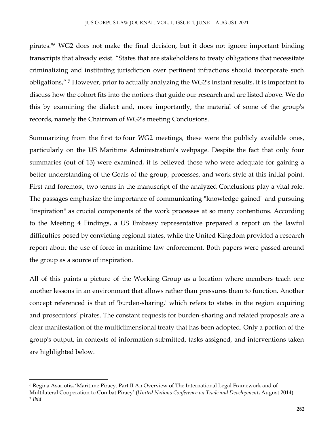pirates."<sup>6</sup> WG2 does not make the final decision, but it does not ignore important binding transcripts that already exist. "States that are stakeholders to treaty obligations that necessitate criminalizing and instituting jurisdiction over pertinent infractions should incorporate such obligations," <sup>7</sup> However, prior to actually analyzing the WG2's instant results, it is important to discuss how the cohort fits into the notions that guide our research and are listed above. We do this by examining the dialect and, more importantly, the material of some of the group's records, namely the Chairman of WG2's meeting Conclusions.

Summarizing from the first to four WG2 meetings, these were the publicly available ones, particularly on the US Maritime Administration's webpage. Despite the fact that only four summaries (out of 13) were examined, it is believed those who were adequate for gaining a better understanding of the Goals of the group, processes, and work style at this initial point. First and foremost, two terms in the manuscript of the analyzed Conclusions play a vital role. The passages emphasize the importance of communicating "knowledge gained" and pursuing "inspiration" as crucial components of the work processes at so many contentions. According to the Meeting 4 Findings, a US Embassy representative prepared a report on the lawful difficulties posed by convicting regional states, while the United Kingdom provided a research report about the use of force in maritime law enforcement. Both papers were passed around the group as a source of inspiration.

All of this paints a picture of the Working Group as a location where members teach one another lessons in an environment that allows rather than pressures them to function. Another concept referenced is that of 'burden-sharing,' which refers to states in the region acquiring and prosecutors' pirates. The constant requests for burden-sharing and related proposals are a clear manifestation of the multidimensional treaty that has been adopted. Only a portion of the group's output, in contexts of information submitted, tasks assigned, and interventions taken are highlighted below.

 $\overline{\phantom{a}}$ <sup>6</sup> Regina Asariotis, 'Maritime Piracy. Part II An Overview of The International Legal Framework and of Multilateral Cooperation to Combat Piracy' (*United Nations Conference on Trade and Development*, August 2014) <sup>7</sup> *Ibid*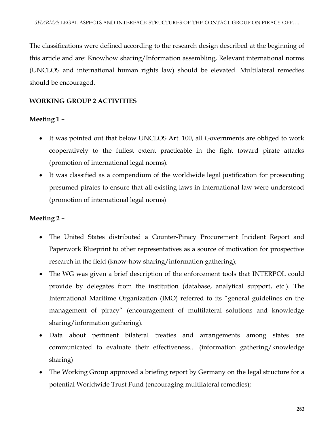The classifications were defined according to the research design described at the beginning of this article and are: Knowhow sharing/Information assembling, Relevant international norms (UNCLOS and international human rights law) should be elevated. Multilateral remedies should be encouraged.

## **WORKING GROUP 2 ACTIVITIES**

### **Meeting 1 –**

- It was pointed out that below UNCLOS Art. 100, all Governments are obliged to work cooperatively to the fullest extent practicable in the fight toward pirate attacks (promotion of international legal norms).
- It was classified as a compendium of the worldwide legal justification for prosecuting presumed pirates to ensure that all existing laws in international law were understood (promotion of international legal norms)

## **Meeting 2 –**

- The United States distributed a Counter-Piracy Procurement Incident Report and Paperwork Blueprint to other representatives as a source of motivation for prospective research in the field (know-how sharing/information gathering);
- The WG was given a brief description of the enforcement tools that INTERPOL could provide by delegates from the institution (database, analytical support, etc.). The International Maritime Organization (IMO) referred to its "general guidelines on the management of piracy" (encouragement of multilateral solutions and knowledge sharing/information gathering).
- Data about pertinent bilateral treaties and arrangements among states are communicated to evaluate their effectiveness... (information gathering/knowledge sharing)
- The Working Group approved a briefing report by Germany on the legal structure for a potential Worldwide Trust Fund (encouraging multilateral remedies);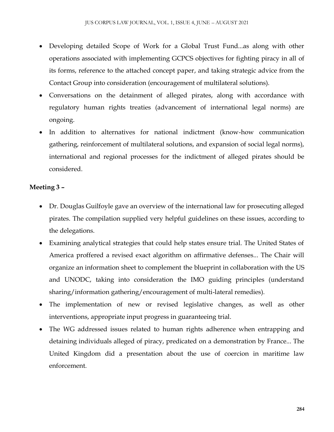- Developing detailed Scope of Work for a Global Trust Fund...as along with other operations associated with implementing GCPCS objectives for fighting piracy in all of its forms, reference to the attached concept paper, and taking strategic advice from the Contact Group into consideration (encouragement of multilateral solutions).
- Conversations on the detainment of alleged pirates, along with accordance with regulatory human rights treaties (advancement of international legal norms) are ongoing.
- In addition to alternatives for national indictment (know-how communication gathering, reinforcement of multilateral solutions, and expansion of social legal norms), international and regional processes for the indictment of alleged pirates should be considered.

### **Meeting 3 –**

- Dr. Douglas Guilfoyle gave an overview of the international law for prosecuting alleged pirates. The compilation supplied very helpful guidelines on these issues, according to the delegations.
- Examining analytical strategies that could help states ensure trial. The United States of America proffered a revised exact algorithm on affirmative defenses... The Chair will organize an information sheet to complement the blueprint in collaboration with the US and UNODC, taking into consideration the IMO guiding principles (understand sharing/information gathering/encouragement of multi-lateral remedies).
- The implementation of new or revised legislative changes, as well as other interventions, appropriate input progress in guaranteeing trial.
- The WG addressed issues related to human rights adherence when entrapping and detaining individuals alleged of piracy, predicated on a demonstration by France... The United Kingdom did a presentation about the use of coercion in maritime law enforcement.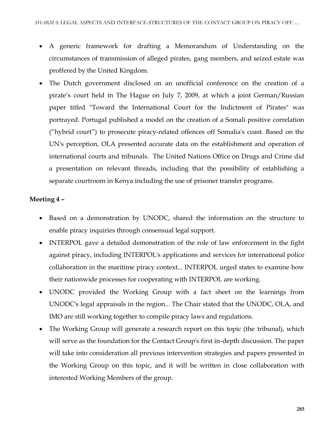- A generic framework for drafting a Memorandum of Understanding on the circumstances of transmission of alleged pirates, gang members, and seized estate was proffered by the United Kingdom.
- The Dutch government disclosed on an unofficial conference on the creation of a pirate's court held in The Hague on July 7, 2009, at which a joint German/Russian paper titled "Toward the International Court for the Indictment of Pirates" was portrayed. Portugal published a model on the creation of a Somali positive correlation ("hybrid court") to prosecute piracy-related offences off Somalia's coast. Based on the UN's perception, OLA presented accurate data on the establishment and operation of international courts and tribunals. The United Nations Office on Drugs and Crime did a presentation on relevant threads, including that the possibility of establishing a separate courtroom in Kenya including the use of prisoner transfer programs.

#### **Meeting 4 –**

- Based on a demonstration by UNODC, shared the information on the structure to enable piracy inquiries through consensual legal support.
- INTERPOL gave a detailed demonstration of the role of law enforcement in the fight against piracy, including INTERPOL's applications and services for international police collaboration in the maritime piracy context... INTERPOL urged states to examine how their nationwide processes for cooperating with INTERPOL are working.
- UNODC provided the Working Group with a fact sheet on the learnings from UNODC's legal appraisals in the region... The Chair stated that the UNODC, OLA, and IMO are still working together to compile piracy laws and regulations.
- The Working Group will generate a research report on this topic (the tribunal), which will serve as the foundation for the Contact Group's first in-depth discussion. The paper will take into consideration all previous intervention strategies and papers presented in the Working Group on this topic, and it will be written in close collaboration with interested Working Members of the group.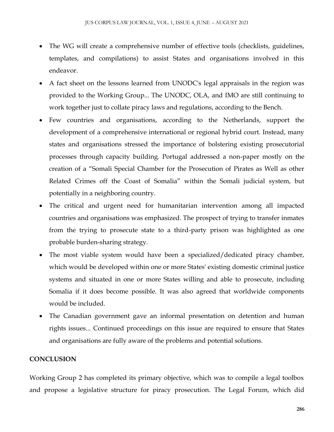- The WG will create a comprehensive number of effective tools (checklists, guidelines, templates, and compilations) to assist States and organisations involved in this endeavor.
- A fact sheet on the lessons learned from UNODC's legal appraisals in the region was provided to the Working Group... The UNODC, OLA, and IMO are still continuing to work together just to collate piracy laws and regulations, according to the Bench.
- Few countries and organisations, according to the Netherlands, support the development of a comprehensive international or regional hybrid court. Instead, many states and organisations stressed the importance of bolstering existing prosecutorial processes through capacity building. Portugal addressed a non-paper mostly on the creation of a "Somali Special Chamber for the Prosecution of Pirates as Well as other Related Crimes off the Coast of Somalia" within the Somali judicial system, but potentially in a neighboring country.
- The critical and urgent need for humanitarian intervention among all impacted countries and organisations was emphasized. The prospect of trying to transfer inmates from the trying to prosecute state to a third-party prison was highlighted as one probable burden-sharing strategy.
- The most viable system would have been a specialized/dedicated piracy chamber, which would be developed within one or more States' existing domestic criminal justice systems and situated in one or more States willing and able to prosecute, including Somalia if it does become possible. It was also agreed that worldwide components would be included.
- The Canadian government gave an informal presentation on detention and human rights issues... Continued proceedings on this issue are required to ensure that States and organisations are fully aware of the problems and potential solutions.

## **CONCLUSION**

Working Group 2 has completed its primary objective, which was to compile a legal toolbox and propose a legislative structure for piracy prosecution. The Legal Forum, which did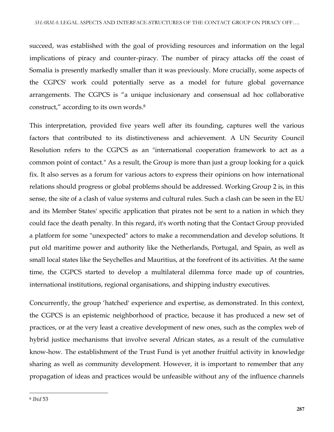succeed, was established with the goal of providing resources and information on the legal implications of piracy and counter-piracy. The number of piracy attacks off the coast of Somalia is presently markedly smaller than it was previously. More crucially, some aspects of the CGPCS' work could potentially serve as a model for future global governance arrangements. The CGPCS is "a unique inclusionary and consensual ad hoc collaborative construct," according to its own words. 8

This interpretation, provided five years well after its founding, captures well the various factors that contributed to its distinctiveness and achievement. A UN Security Council Resolution refers to the CGPCS as an "international cooperation framework to act as a common point of contact." As a result, the Group is more than just a group looking for a quick fix. It also serves as a forum for various actors to express their opinions on how international relations should progress or global problems should be addressed. Working Group 2 is, in this sense, the site of a clash of value systems and cultural rules. Such a clash can be seen in the EU and its Member States' specific application that pirates not be sent to a nation in which they could face the death penalty. In this regard, it's worth noting that the Contact Group provided a platform for some "unexpected" actors to make a recommendation and develop solutions. It put old maritime power and authority like the Netherlands, Portugal, and Spain, as well as small local states like the Seychelles and Mauritius, at the forefront of its activities. At the same time, the CGPCS started to develop a multilateral dilemma force made up of countries, international institutions, regional organisations, and shipping industry executives.

Concurrently, the group 'hatched' experience and expertise, as demonstrated. In this context, the CGPCS is an epistemic neighborhood of practice, because it has produced a new set of practices, or at the very least a creative development of new ones, such as the complex web of hybrid justice mechanisms that involve several African states, as a result of the cumulative know-how. The establishment of the Trust Fund is yet another fruitful activity in knowledge sharing as well as community development. However, it is important to remember that any propagation of ideas and practices would be unfeasible without any of the influence channels

 $\overline{\phantom{a}}$ 

<sup>8</sup> *Ibid* 53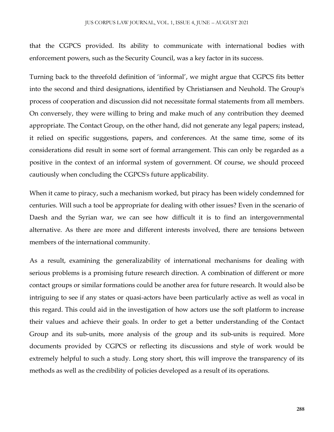that the CGPCS provided. Its ability to communicate with international bodies with enforcement powers, such as the Security Council, was a key factor in its success.

Turning back to the threefold definition of 'informal', we might argue that CGPCS fits better into the second and third designations, identified by Christiansen and Neuhold. The Group's process of cooperation and discussion did not necessitate formal statements from all members. On conversely, they were willing to bring and make much of any contribution they deemed appropriate. The Contact Group, on the other hand, did not generate any legal papers; instead, it relied on specific suggestions, papers, and conferences. At the same time, some of its considerations did result in some sort of formal arrangement. This can only be regarded as a positive in the context of an informal system of government. Of course, we should proceed cautiously when concluding the CGPCS's future applicability.

When it came to piracy, such a mechanism worked, but piracy has been widely condemned for centuries. Will such a tool be appropriate for dealing with other issues? Even in the scenario of Daesh and the Syrian war, we can see how difficult it is to find an intergovernmental alternative. As there are more and different interests involved, there are tensions between members of the international community.

As a result, examining the generalizability of international mechanisms for dealing with serious problems is a promising future research direction. A combination of different or more contact groups or similar formations could be another area for future research. It would also be intriguing to see if any states or quasi-actors have been particularly active as well as vocal in this regard. This could aid in the investigation of how actors use the soft platform to increase their values and achieve their goals. In order to get a better understanding of the Contact Group and its sub-units, more analysis of the group and its sub-units is required. More documents provided by CGPCS or reflecting its discussions and style of work would be extremely helpful to such a study. Long story short, this will improve the transparency of its methods as well as the credibility of policies developed as a result of its operations.